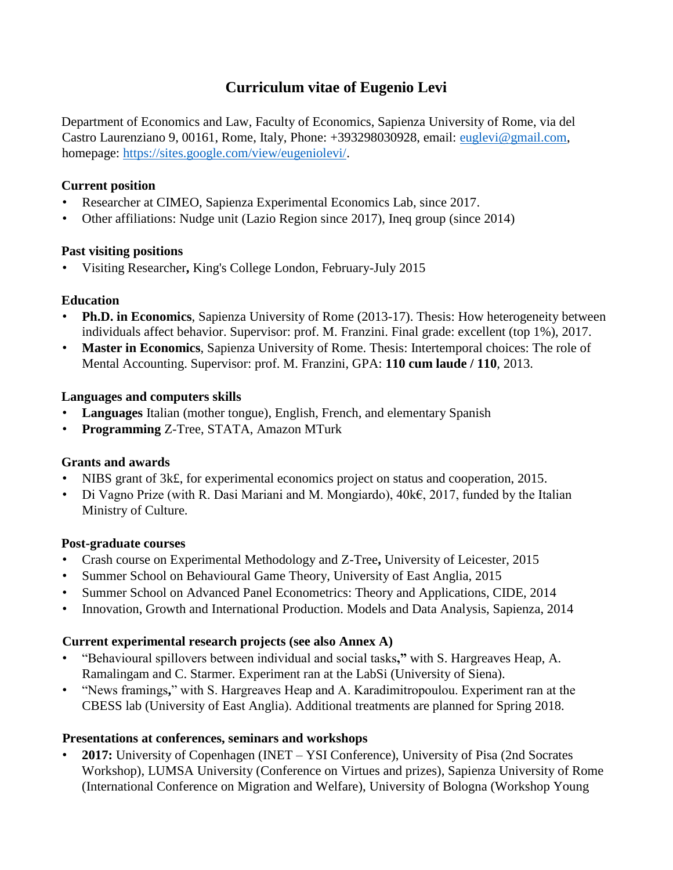# **Curriculum vitae of Eugenio Levi**

Department of Economics and Law, Faculty of Economics, Sapienza University of Rome, via del Castro Laurenziano 9, 00161, Rome, Italy, Phone: +393298030928, email: euglevi@gmail.com, homepage: [https://sites.google.com/view/eugeniolevi/.](https://sites.google.com/view/eugeniolevi/)

#### **Current position**

- Researcher at CIMEO, Sapienza Experimental Economics Lab, since 2017.
- Other affiliations: Nudge unit (Lazio Region since 2017), Ineq group (since 2014)

## **Past visiting positions**

• Visiting Researcher**,** King's College London, February-July 2015

## **Education**

- **Ph.D. in Economics**, Sapienza University of Rome (2013-17). Thesis: How heterogeneity between individuals affect behavior. Supervisor: prof. M. Franzini. Final grade: excellent (top 1%), 2017.
- **Master in Economics**, Sapienza University of Rome. Thesis: Intertemporal choices: The role of Mental Accounting. Supervisor: prof. M. Franzini, GPA: **110 cum laude / 110**, 2013.

## **Languages and computers skills**

- **Languages** Italian (mother tongue), English, French, and elementary Spanish
- **Programming** Z-Tree, STATA, Amazon MTurk

# **Grants and awards**

- NIBS grant of 3k£, for experimental economics project on status and cooperation, 2015.
- Di Vagno Prize (with R. Dasi Mariani and M. Mongiardo), 40k€, 2017, funded by the Italian Ministry of Culture.

#### **Post-graduate courses**

- Crash course on Experimental Methodology and Z-Tree**,** University of Leicester, 2015
- Summer School on Behavioural Game Theory, University of East Anglia, 2015
- Summer School on Advanced Panel Econometrics: Theory and Applications, CIDE, 2014
- Innovation, Growth and International Production. Models and Data Analysis, Sapienza, 2014

# **Current experimental research projects (see also Annex A)**

- "Behavioural spillovers between individual and social tasks**,"** with S. Hargreaves Heap, A. Ramalingam and C. Starmer. Experiment ran at the LabSi (University of Siena).
- "News framings**,**" with S. Hargreaves Heap and A. Karadimitropoulou. Experiment ran at the CBESS lab (University of East Anglia). Additional treatments are planned for Spring 2018.

#### **Presentations at conferences, seminars and workshops**

• **2017:** University of Copenhagen (INET – YSI Conference), University of Pisa (2nd Socrates Workshop), LUMSA University (Conference on Virtues and prizes), Sapienza University of Rome (International Conference on Migration and Welfare), University of Bologna (Workshop Young